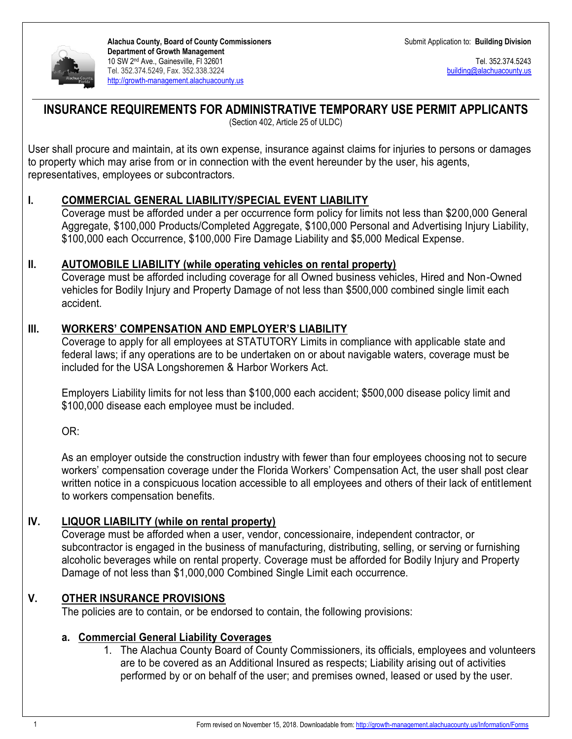

**Alachua County, Board of County Commissioners Department of Growth Management** 10 SW 2nd Ave., Gainesville, Fl 32601 Tel. 352.374.5249, Fax. 352.338.3224 [http://growth-management.alachuacounty.us](http://growth-management.alachuacounty.us/)

Tel. 352.374.5243 [building@alachuacounty.us](mailto:building@alachuacounty.us)

# **INSURANCE REQUIREMENTS FOR ADMINISTRATIVE TEMPORARY USE PERMIT APPLICANTS**

(Section 402, Article 25 of ULDC)

User shall procure and maintain, at its own expense, insurance against claims for injuries to persons or damages to property which may arise from or in connection with the event hereunder by the user, his agents, representatives, employees or subcontractors.

## **I. COMMERCIAL GENERAL LIABILITY/SPECIAL EVENT LIABILITY**

Coverage must be afforded under a per occurrence form policy for limits not less than \$200,000 General Aggregate, \$100,000 Products/Completed Aggregate, \$100,000 Personal and Advertising Injury Liability, \$100,000 each Occurrence, \$100,000 Fire Damage Liability and \$5,000 Medical Expense.

### **II. AUTOMOBILE LIABILITY (while operating vehicles on rental property)**

Coverage must be afforded including coverage for all Owned business vehicles, Hired and Non-Owned vehicles for Bodily Injury and Property Damage of not less than \$500,000 combined single limit each accident.

## **III. WORKERS' COMPENSATION AND EMPLOYER'S LIABILITY**

Coverage to apply for all employees at STATUTORY Limits in compliance with applicable state and federal laws; if any operations are to be undertaken on or about navigable waters, coverage must be included for the USA Longshoremen & Harbor Workers Act.

Employers Liability limits for not less than \$100,000 each accident; \$500,000 disease policy limit and \$100,000 disease each employee must be included.

OR:

As an employer outside the construction industry with fewer than four employees choosing not to secure workers' compensation coverage under the Florida Workers' Compensation Act, the user shall post clear written notice in a conspicuous location accessible to all employees and others of their lack of entitlement to workers compensation benefits.

## **IV. LIQUOR LIABILITY (while on rental property)**

Coverage must be afforded when a user, vendor, concessionaire, independent contractor, or subcontractor is engaged in the business of manufacturing, distributing, selling, or serving or furnishing alcoholic beverages while on rental property. Coverage must be afforded for Bodily Injury and Property Damage of not less than \$1,000,000 Combined Single Limit each occurrence.

## **V. OTHER INSURANCE PROVISIONS**

The policies are to contain, or be endorsed to contain, the following provisions:

### **a. Commercial General Liability Coverages**

1. The Alachua County Board of County Commissioners, its officials, employees and volunteers are to be covered as an Additional Insured as respects; Liability arising out of activities performed by or on behalf of the user; and premises owned, leased or used by the user.